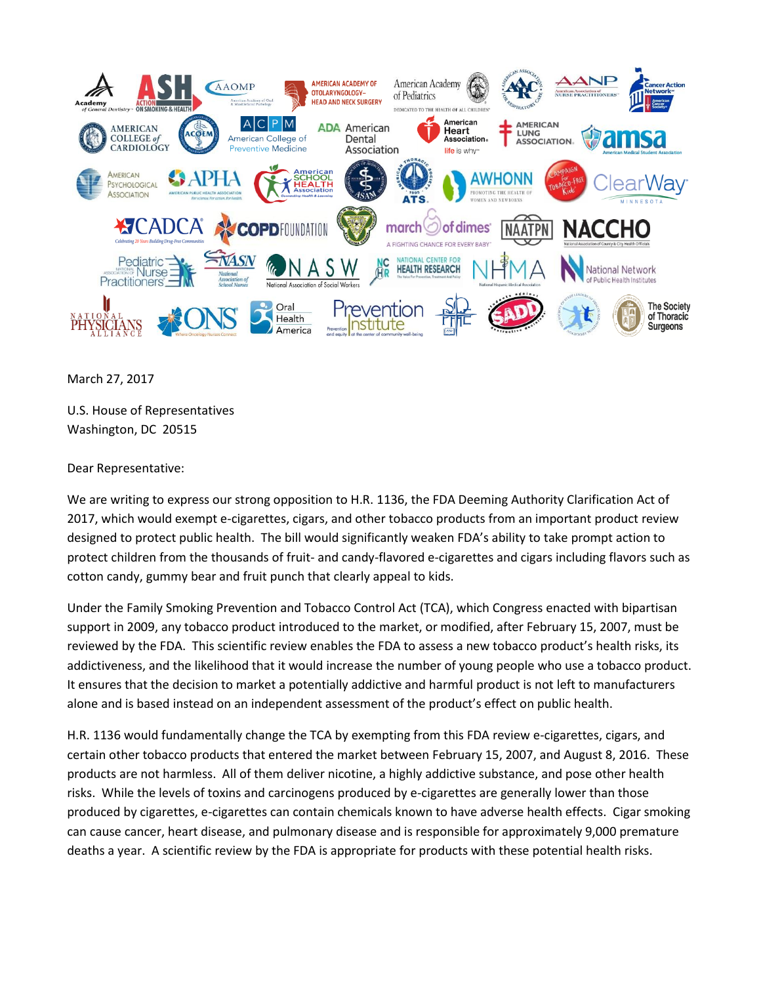

March 27, 2017

U.S. House of Representatives Washington, DC 20515

Dear Representative:

We are writing to express our strong opposition to H.R. 1136, the FDA Deeming Authority Clarification Act of 2017, which would exempt e-cigarettes, cigars, and other tobacco products from an important product review designed to protect public health. The bill would significantly weaken FDA's ability to take prompt action to protect children from the thousands of fruit- and candy-flavored e-cigarettes and cigars including flavors such as cotton candy, gummy bear and fruit punch that clearly appeal to kids.

Under the Family Smoking Prevention and Tobacco Control Act (TCA), which Congress enacted with bipartisan support in 2009, any tobacco product introduced to the market, or modified, after February 15, 2007, must be reviewed by the FDA. This scientific review enables the FDA to assess a new tobacco product's health risks, its addictiveness, and the likelihood that it would increase the number of young people who use a tobacco product. It ensures that the decision to market a potentially addictive and harmful product is not left to manufacturers alone and is based instead on an independent assessment of the product's effect on public health.

H.R. 1136 would fundamentally change the TCA by exempting from this FDA review e-cigarettes, cigars, and certain other tobacco products that entered the market between February 15, 2007, and August 8, 2016. These products are not harmless. All of them deliver nicotine, a highly addictive substance, and pose other health risks. While the levels of toxins and carcinogens produced by e-cigarettes are generally lower than those produced by cigarettes, e-cigarettes can contain chemicals known to have adverse health effects. Cigar smoking can cause cancer, heart disease, and pulmonary disease and is responsible for approximately 9,000 premature deaths a year. A scientific review by the FDA is appropriate for products with these potential health risks.